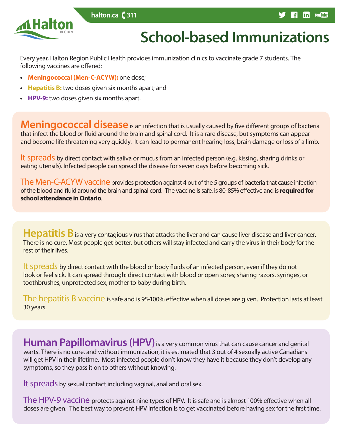



# **School-based Immunizations**

Every year, Halton Region Public Health provides immunization clinics to vaccinate grade 7 students. The following vaccines are offered:

- **• Meningococcal (Men-C-ACYW):** one dose;
- **• Hepatitis B:** two doses given six months apart; and
- **• HPV-9:** two doses given six months apart.

**Meningococcal disease** is an infection that is usually caused by five different groups of bacteria that infect the blood or fluid around the brain and spinal cord. It is a rare disease, but symptoms can appear and become life threatening very quickly. It can lead to permanent hearing loss, brain damage or loss of a limb.

It spreads by direct contact with saliva or mucus from an infected person (e.g. kissing, sharing drinks or eating utensils). Infected people can spread the disease for seven days before becoming sick.

The Men-C-ACYW vaccine provides protection against 4 out of the 5 groups of bacteria that cause infection of the blood and fluid around the brain and spinal cord. The vaccine is safe, is 80-85% effective and is **required for school attendance in Ontario**.

**Hepatitis B** is a very contagious virus that attacks the liver and can cause liver disease and liver cancer. There is no cure. Most people get better, but others will stay infected and carry the virus in their body for the rest of their lives.

It spreads by direct contact with the blood or body fluids of an infected person, even if they do not look or feel sick. It can spread through: direct contact with blood or open sores; sharing razors, syringes, or toothbrushes; unprotected sex; mother to baby during birth.

The hepatitis B vaccine is safe and is 95-100% effective when all doses are given. Protection lasts at least 30 years.

**Human Papillomavirus (HPV)** is a very common virus that can cause cancer and genital warts. There is no cure, and without immunization, it is estimated that 3 out of 4 sexually active Canadians will get HPV in their lifetime. Most infected people don't know they have it because they don't develop any symptoms, so they pass it on to others without knowing.

It spreads by sexual contact including vaginal, anal and oral sex.

The HPV-9 vaccine protects against nine types of HPV. It is safe and is almost 100% effective when all doses are given. The best way to prevent HPV infection is to get vaccinated before having sex for the first time.